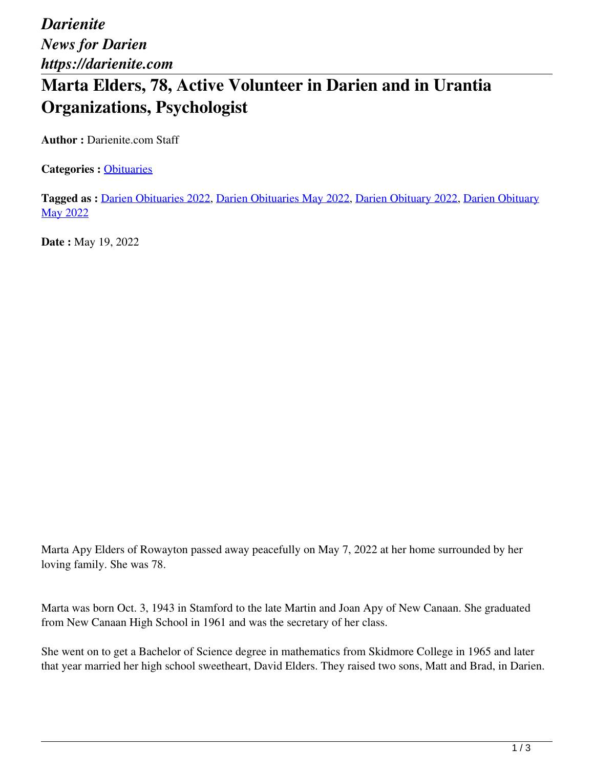## **Marta Elders, 78, Active Volunteer in Darien and in Urantia Organizations, Psychologist**

**Author :** Darienite.com Staff

**Categories :** [Obituaries](https://darienite.com/category/obituaries)

**Tagged as :** Darien Obituaries 2022, Darien Obituaries May 2022, Darien Obituary 2022, Darien Obituary May 2022

**Date :** May 19, 2022

Marta Apy Elders of Rowayton passed away peacefully on May 7, 2022 at her home surrounded by her loving family. She was 78.

Marta was born Oct. 3, 1943 in Stamford to the late Martin and Joan Apy of New Canaan. She graduated from New Canaan High School in 1961 and was the secretary of her class.

She went on to get a Bachelor of Science degree in mathematics from Skidmore College in 1965 and later that year married her high school sweetheart, David Elders. They raised two sons, Matt and Brad, in Darien.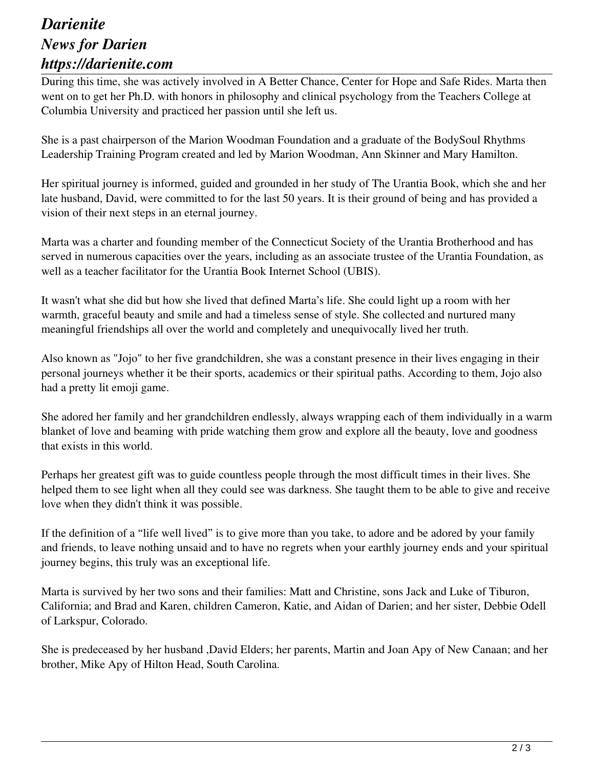## *Darienite News for Darien https://darienite.com*

During this time, she was actively involved in A Better Chance, Center for Hope and Safe Rides. Marta then went on to get her Ph.D. with honors in philosophy and clinical psychology from the Teachers College at Columbia University and practiced her passion until she left us.

She is a past chairperson of the Marion Woodman Foundation and a graduate of the BodySoul Rhythms Leadership Training Program created and led by Marion Woodman, Ann Skinner and Mary Hamilton.

Her spiritual journey is informed, guided and grounded in her study of The Urantia Book, which she and her late husband, David, were committed to for the last 50 years. It is their ground of being and has provided a vision of their next steps in an eternal journey.

Marta was a charter and founding member of the Connecticut Society of the Urantia Brotherhood and has served in numerous capacities over the years, including as an associate trustee of the Urantia Foundation, as well as a teacher facilitator for the Urantia Book Internet School (UBIS).

It wasn't what she did but how she lived that defined Marta's life. She could light up a room with her warmth, graceful beauty and smile and had a timeless sense of style. She collected and nurtured many meaningful friendships all over the world and completely and unequivocally lived her truth.

Also known as "Jojo" to her five grandchildren, she was a constant presence in their lives engaging in their personal journeys whether it be their sports, academics or their spiritual paths. According to them, Jojo also had a pretty lit emoji game.

She adored her family and her grandchildren endlessly, always wrapping each of them individually in a warm blanket of love and beaming with pride watching them grow and explore all the beauty, love and goodness that exists in this world.

Perhaps her greatest gift was to guide countless people through the most difficult times in their lives. She helped them to see light when all they could see was darkness. She taught them to be able to give and receive love when they didn't think it was possible.

If the definition of a "life well lived" is to give more than you take, to adore and be adored by your family and friends, to leave nothing unsaid and to have no regrets when your earthly journey ends and your spiritual journey begins, this truly was an exceptional life.

Marta is survived by her two sons and their families: Matt and Christine, sons Jack and Luke of Tiburon, California; and Brad and Karen, children Cameron, Katie, and Aidan of Darien; and her sister, Debbie Odell of Larkspur, Colorado.

She is predeceased by her husband ,David Elders; her parents, Martin and Joan Apy of New Canaan; and her brother, Mike Apy of Hilton Head, South Carolina.